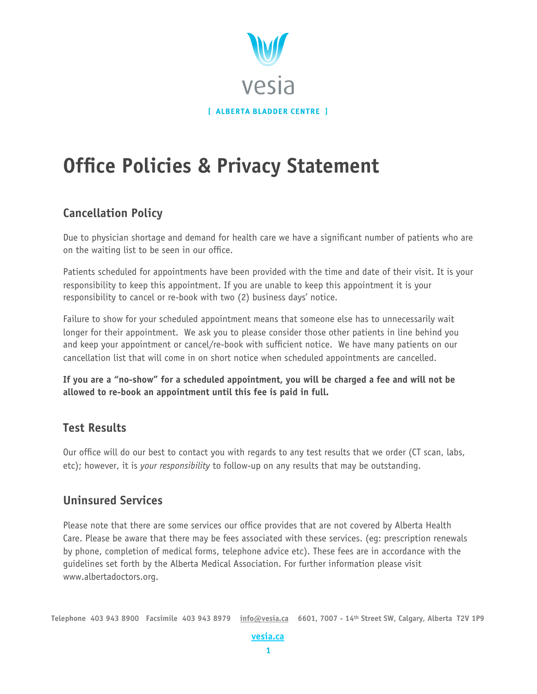

# **Office Policies & Privacy Statement**

## **Cancellation Policy**

Due to physician shortage and demand for health care we have a significant number of patients who are on the waiting list to be seen in our office.

Patients scheduled for appointments have been provided with the time and date of their visit. It is your responsibility to keep this appointment. If you are unable to keep this appointment it is your responsibility to cancel or re-book with two (2) business days' notice.

Failure to show for your scheduled appointment means that someone else has to unnecessarily wait longer for their appointment. We ask you to please consider those other patients in line behind you and keep your appointment or cancel/re-book with sufficient notice. We have many patients on our cancellation list that will come in on short notice when scheduled appointments are cancelled.

**If you are a "no-show" for a scheduled appointment, you will be charged a fee and will not be allowed to re-book an appointment until this fee is paid in full.**

### **Test Results**

Our office will do our best to contact you with regards to any test results that we order (CT scan, labs, etc); however, it is *your responsibility* to follow-up on any results that may be outstanding.

### **Uninsured Services**

Please note that there are some services our office provides that are not covered by Alberta Health Care. Please be aware that there may be fees associated with these services. (eg: prescription renewals by phone, completion of medical forms, telephone advice etc). These fees are in accordance with the guidelines set forth by the Alberta Medical Association. For further information please visit [www.albertadoctors.org.](http://www.albertadoctors.org)

**Telephone 403 943 8900 Facsimile 403 943 8979 [info@vesia.ca](mailto:info@vesia.ca) 6601, 7007 - 14th Street SW, Calgary, Alberta T2V 1P9** 

#### **[vesia.ca](http://www.vesia.ca/)**